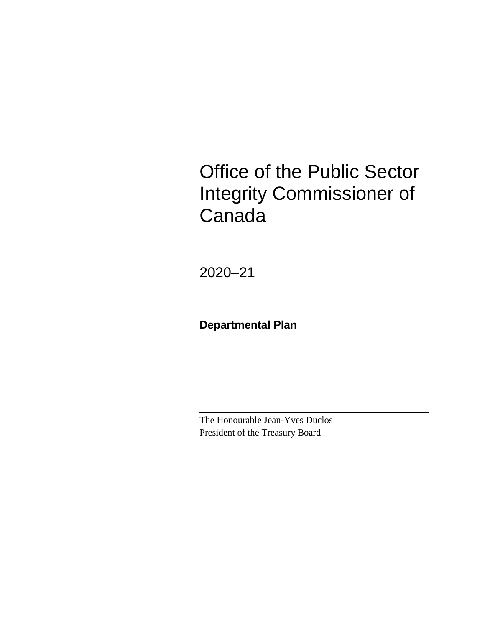# Office of the Public Sector Integrity Commissioner of Canada

2020–21

**Departmental Plan**

The Honourable Jean-Yves Duclos President of the Treasury Board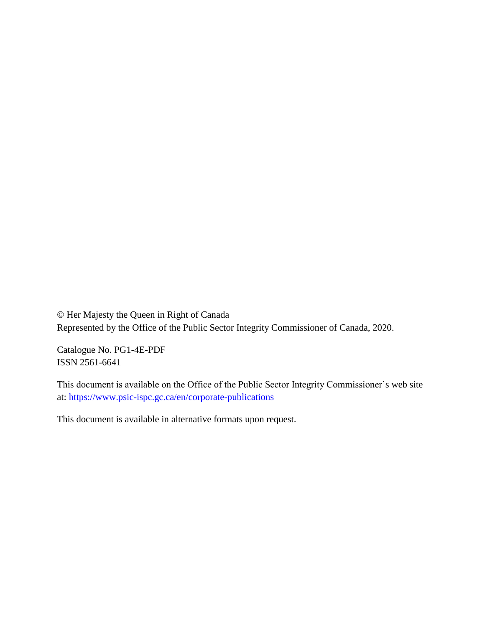© Her Majesty the Queen in Right of Canada Represented by the Office of the Public Sector Integrity Commissioner of Canada, 2020.

Catalogue No. PG1-4E-PDF ISSN 2561-6641

This document is available on the Office of the Public Sector Integrity Commissioner's web site at:<https://www.psic-ispc.gc.ca/en/corporate-publications>

This document is available in alternative formats upon request.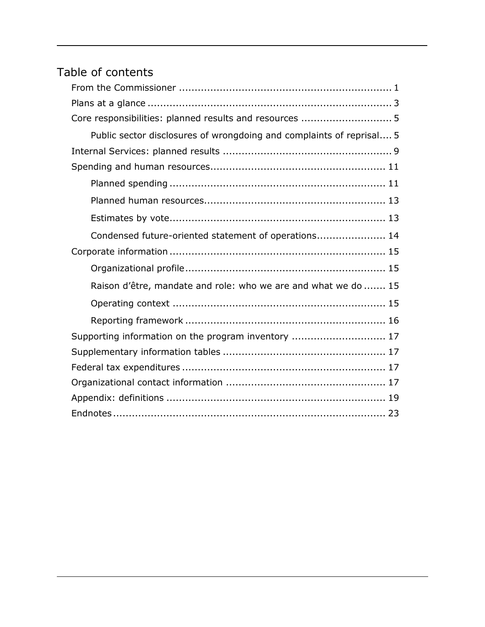## Table of contents

| Core responsibilities: planned results and resources  5              |
|----------------------------------------------------------------------|
| Public sector disclosures of wrongdoing and complaints of reprisal 5 |
|                                                                      |
|                                                                      |
|                                                                      |
|                                                                      |
|                                                                      |
| Condensed future-oriented statement of operations 14                 |
|                                                                      |
|                                                                      |
| Raison d'être, mandate and role: who we are and what we do  15       |
|                                                                      |
|                                                                      |
| Supporting information on the program inventory  17                  |
|                                                                      |
|                                                                      |
|                                                                      |
|                                                                      |
|                                                                      |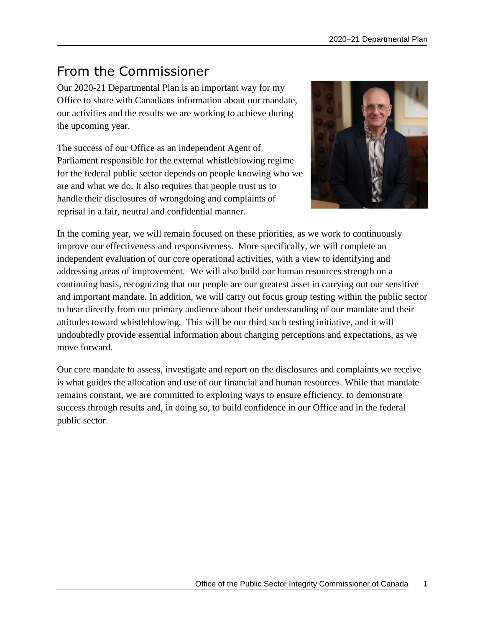## <span id="page-4-0"></span>From the Commissioner

Our 2020-21 Departmental Plan is an important way for my Office to share with Canadians information about our mandate, our activities and the results we are working to achieve during the upcoming year.

The success of our Office as an independent Agent of Parliament responsible for the external whistleblowing regime for the federal public sector depends on people knowing who we are and what we do. It also requires that people trust us to handle their disclosures of wrongdoing and complaints of reprisal in a fair, neutral and confidential manner.



In the coming year, we will remain focused on these priorities, as we work to continuously improve our effectiveness and responsiveness. More specifically, we will complete an independent evaluation of our core operational activities, with a view to identifying and addressing areas of improvement. We will also build our human resources strength on a continuing basis, recognizing that our people are our greatest asset in carrying out our sensitive and important mandate. In addition, we will carry out focus group testing within the public sector to hear directly from our primary audience about their understanding of our mandate and their attitudes toward whistleblowing. This will be our third such testing initiative, and it will undoubtedly provide essential information about changing perceptions and expectations, as we move forward.

Our core mandate to assess, investigate and report on the disclosures and complaints we receive is what guides the allocation and use of our financial and human resources. While that mandate remains constant, we are committed to exploring ways to ensure efficiency, to demonstrate success through results and, in doing so, to build confidence in our Office and in the federal public sector.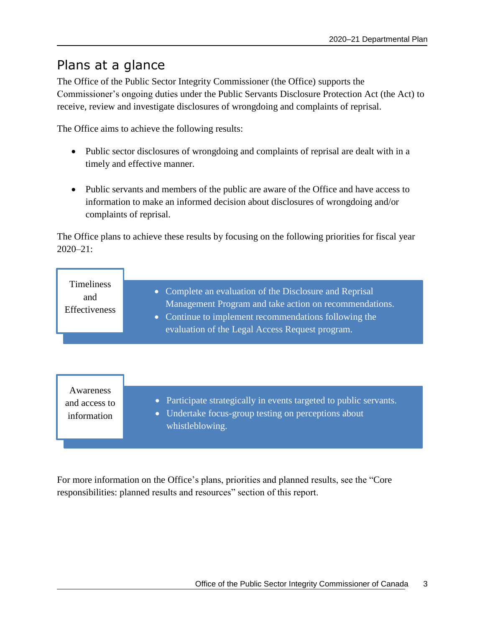### <span id="page-6-0"></span>Plans at a glance

The Office of the Public Sector Integrity Commissioner (the Office) supports the Commissioner's ongoing duties under the Public Servants Disclosure Protection Act (the Act) to receive, review and investigate disclosures of wrongdoing and complaints of reprisal.

The Office aims to achieve the following results:

- Public sector disclosures of wrongdoing and complaints of reprisal are dealt with in a timely and effective manner.
- Public servants and members of the public are aware of the Office and have access to information to make an informed decision about disclosures of wrongdoing and/or complaints of reprisal.

The Office plans to achieve these results by focusing on the following priorities for fiscal year 2020–21:

| <b>Timeliness</b><br>and<br>Effectiveness | • Complete an evaluation of the Disclosure and Reprisal<br>Management Program and take action on recommendations.<br>• Continue to implement recommendations following the<br>evaluation of the Legal Access Request program. |
|-------------------------------------------|-------------------------------------------------------------------------------------------------------------------------------------------------------------------------------------------------------------------------------|
|                                           |                                                                                                                                                                                                                               |
| Awareness<br>and access to                | Participate strategically in events targeted to public servants.<br>$\bullet$                                                                                                                                                 |

information

- 
- Undertake focus-group testing on perceptions about whistleblowing.

For more information on the Office's plans, priorities and planned results, see the "Core responsibilities: planned results and resources" section of this report.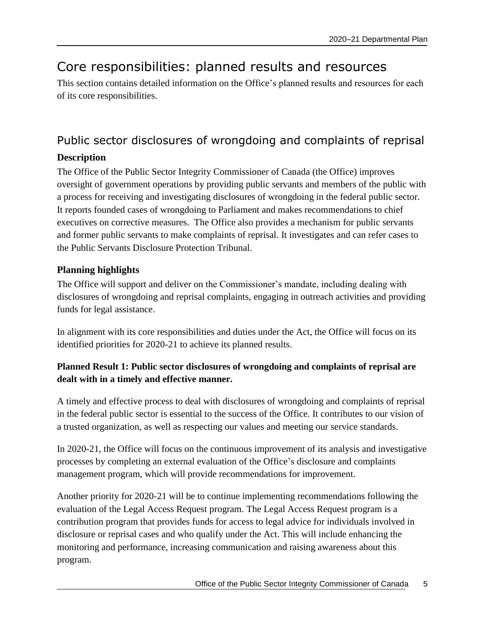## <span id="page-8-0"></span>Core responsibilities: planned results and resources

This section contains detailed information on the Office's planned results and resources for each of its core responsibilities.

### <span id="page-8-1"></span>Public sector disclosures of wrongdoing and complaints of reprisal **Description**

The Office of the Public Sector Integrity Commissioner of Canada (the Office) improves oversight of government operations by providing public servants and members of the public with a process for receiving and investigating disclosures of wrongdoing in the federal public sector. It reports founded cases of wrongdoing to Parliament and makes recommendations to chief executives on corrective measures. The Office also provides a mechanism for public servants and former public servants to make complaints of reprisal. It investigates and can refer cases to the Public Servants Disclosure Protection Tribunal.

#### **Planning highlights**

The Office will support and deliver on the Commissioner's mandate, including dealing with disclosures of wrongdoing and reprisal complaints, engaging in outreach activities and providing funds for legal assistance.

In alignment with its core responsibilities and duties under the Act, the Office will focus on its identified priorities for 2020-21 to achieve its planned results.

#### **Planned Result 1: Public sector disclosures of wrongdoing and complaints of reprisal are dealt with in a timely and effective manner.**

A timely and effective process to deal with disclosures of wrongdoing and complaints of reprisal in the federal public sector is essential to the success of the Office. It contributes to our vision of a trusted organization, as well as respecting our values and meeting our service standards.

In 2020-21, the Office will focus on the continuous improvement of its analysis and investigative processes by completing an external evaluation of the Office's disclosure and complaints management program, which will provide recommendations for improvement.

Another priority for 2020-21 will be to continue implementing recommendations following the evaluation of the Legal Access Request program. The Legal Access Request program is a contribution program that provides funds for access to legal advice for individuals involved in disclosure or reprisal cases and who qualify under the Act. This will include enhancing the monitoring and performance, increasing communication and raising awareness about this program.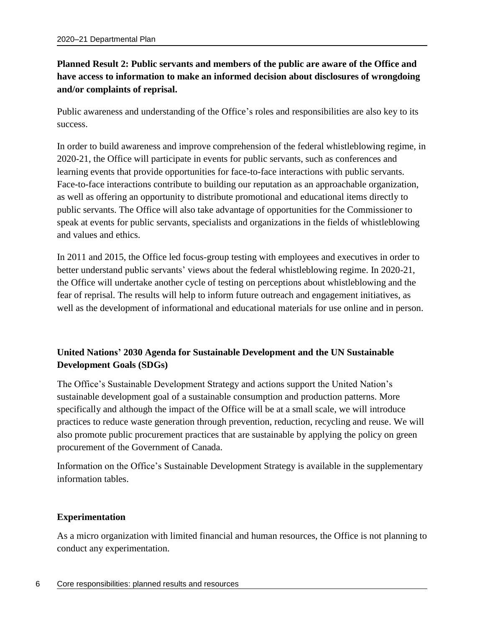#### **Planned Result 2: Public servants and members of the public are aware of the Office and have access to information to make an informed decision about disclosures of wrongdoing and/or complaints of reprisal.**

Public awareness and understanding of the Office's roles and responsibilities are also key to its success.

In order to build awareness and improve comprehension of the federal whistleblowing regime, in 2020-21, the Office will participate in events for public servants, such as conferences and learning events that provide opportunities for face-to-face interactions with public servants. Face-to-face interactions contribute to building our reputation as an approachable organization, as well as offering an opportunity to distribute promotional and educational items directly to public servants. The Office will also take advantage of opportunities for the Commissioner to speak at events for public servants, specialists and organizations in the fields of whistleblowing and values and ethics.

In 2011 and 2015, the Office led focus-group testing with employees and executives in order to better understand public servants' views about the federal whistleblowing regime. In 2020-21, the Office will undertake another cycle of testing on perceptions about whistleblowing and the fear of reprisal. The results will help to inform future outreach and engagement initiatives, as well as the development of informational and educational materials for use online and in person.

#### **United Nations' 2030 Agenda for Sustainable Development and the UN Sustainable Development Goals (SDGs)**

The Office's Sustainable Development Strategy and actions support the United Nation's sustainable development goal of a sustainable consumption and production patterns. More specifically and although the impact of the Office will be at a small scale, we will introduce practices to reduce waste generation through prevention, reduction, recycling and reuse. We will also promote public procurement practices that are sustainable by applying the policy on green procurement of the Government of Canada.

Information on the Office's Sustainable Development Strategy is available in the supplementary information tables.

#### **Experimentation**

As a micro organization with limited financial and human resources, the Office is not planning to conduct any experimentation.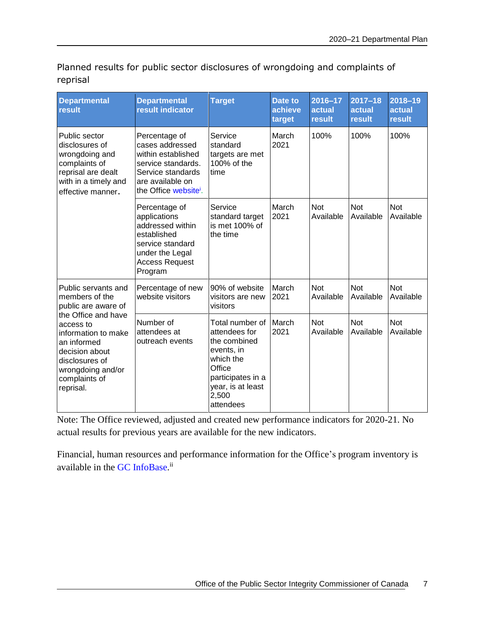Planned results for public sector disclosures of wrongdoing and complaints of reprisal

| <b>Departmental</b><br>result                                                                                                                                 | <b>Departmental</b><br>result indicator                                                                                                                    | <b>Target</b>                                                                                                                                         | <b>Date to</b><br>achieve<br>target | 2016-17<br>actual<br>result | $2017 - 18$<br>actual<br>result | $2018 - 19$<br>actual<br>result |
|---------------------------------------------------------------------------------------------------------------------------------------------------------------|------------------------------------------------------------------------------------------------------------------------------------------------------------|-------------------------------------------------------------------------------------------------------------------------------------------------------|-------------------------------------|-----------------------------|---------------------------------|---------------------------------|
| Public sector<br>disclosures of<br>wrongdoing and<br>complaints of<br>reprisal are dealt<br>with in a timely and<br>effective manner.                         | Percentage of<br>cases addressed<br>within established<br>service standards.<br>Service standards<br>are available on<br>the Office website <sup>i</sup> . | Service<br>standard<br>targets are met<br>100% of the<br>time                                                                                         | March<br>2021                       | 100%                        | 100%                            | 100%                            |
|                                                                                                                                                               | Percentage of<br>applications<br>addressed within<br>established<br>service standard<br>under the Legal<br><b>Access Request</b><br>Program                | Service<br>standard target<br>is met 100% of<br>the time                                                                                              | March<br>2021                       | <b>Not</b><br>Available     | <b>Not</b><br>Available         | <b>Not</b><br>Available         |
| Public servants and<br>members of the<br>public are aware of                                                                                                  | Percentage of new<br>website visitors                                                                                                                      | 90% of website<br>visitors are new<br>visitors                                                                                                        | March<br>2021                       | <b>Not</b><br>Available     | <b>Not</b><br>Available         | <b>Not</b><br>Available         |
| the Office and have<br>access to<br>information to make<br>an informed<br>decision about<br>disclosures of<br>wrongdoing and/or<br>complaints of<br>reprisal. | Number of<br>attendees at<br>outreach events                                                                                                               | Total number of<br>attendees for<br>the combined<br>events, in<br>which the<br>Office<br>participates in a<br>year, is at least<br>2,500<br>attendees | March<br>2021                       | <b>Not</b><br>Available     | <b>Not</b><br>Available         | <b>Not</b><br>Available         |

Note: The Office reviewed, adjusted and created new performance indicators for 2020-21. No actual results for previous years are available for the new indicators.

Financial, human resources and performance information for the Office's program inventory is available in the GC [InfoBase.](https://www.tbs-sct.gc.ca/ems-sgd/edb-bdd/index-eng.html)<sup>ii</sup>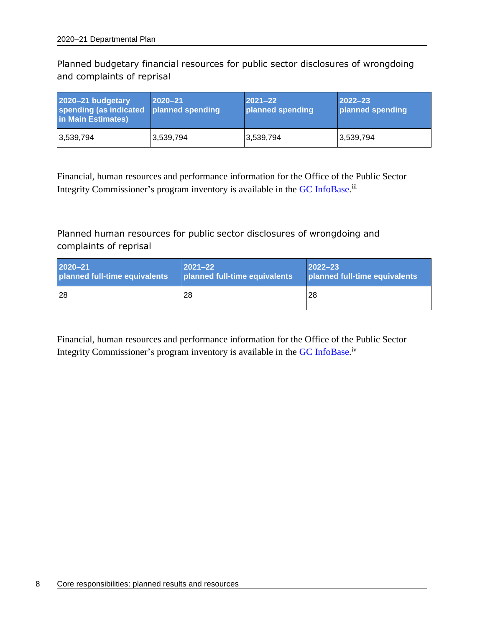Planned budgetary financial resources for public sector disclosures of wrongdoing and complaints of reprisal

| 2020-21 budgetary<br>spending (as indicated planned spending<br>in Main Estimates) | $2020 - 21$ | $2021 - 22$<br>planned spending | $2022 - 23$<br>planned spending |
|------------------------------------------------------------------------------------|-------------|---------------------------------|---------------------------------|
| 3,539,794                                                                          | 3,539,794   | 3,539,794                       | 3,539,794                       |

Financial, human resources and performance information for the Office of the Public Sector Integrity Commissioner's program inventory is available in the GC [InfoBase.](https://www.tbs-sct.gc.ca/ems-sgd/edb-bdd/index-eng.html)<sup>iii</sup>

Planned human resources for public sector disclosures of wrongdoing and complaints of reprisal

| $2020 - 21$                   | $ 2021 - 22 $                 | $2022 - 23$                   |
|-------------------------------|-------------------------------|-------------------------------|
| planned full-time equivalents | planned full-time equivalents | planned full-time equivalents |
| 128                           | 28                            | l28                           |

Financial, human resources and performance information for the Office of the Public Sector Integrity Commissioner's program inventory is available in the GC [InfoBase.](https://www.tbs-sct.gc.ca/ems-sgd/edb-bdd/index-eng.html)<sup>iv</sup>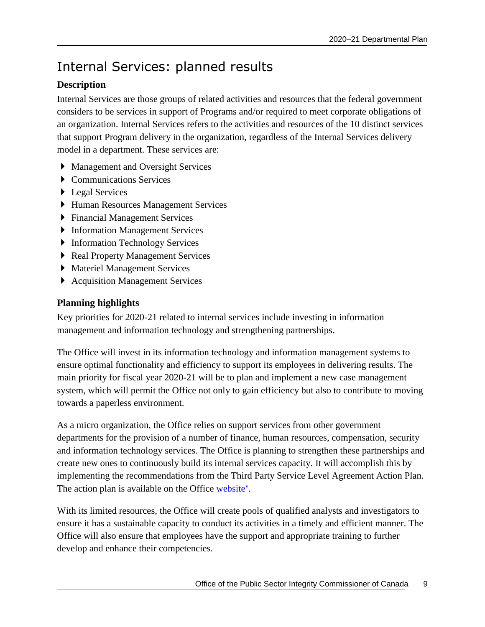## <span id="page-12-0"></span>Internal Services: planned results

#### **Description**

Internal Services are those groups of related activities and resources that the federal government considers to be services in support of Programs and/or required to meet corporate obligations of an organization. Internal Services refers to the activities and resources of the 10 distinct services that support Program delivery in the organization, regardless of the Internal Services delivery model in a department. These services are:

- Management and Oversight Services
- ▶ Communications Services
- ▶ Legal Services
- Human Resources Management Services
- Financial Management Services
- **Information Management Services**
- Information Technology Services
- ▶ Real Property Management Services
- Materiel Management Services
- ▶ Acquisition Management Services

#### **Planning highlights**

Key priorities for 2020-21 related to internal services include investing in information management and information technology and strengthening partnerships.

The Office will invest in its information technology and information management systems to ensure optimal functionality and efficiency to support its employees in delivering results. The main priority for fiscal year 2020-21 will be to plan and implement a new case management system, which will permit the Office not only to gain efficiency but also to contribute to moving towards a paperless environment.

As a micro organization, the Office relies on support services from other government departments for the provision of a number of finance, human resources, compensation, security and information technology services. The Office is planning to strengthen these partnerships and create new ones to continuously build its internal services capacity. It will accomplish this by implementing the recommendations from the Third Party Service Level Agreement Action Plan. The action plan is available on the Office [website](https://www.psic-ispc.gc.ca/index.php/en/resources/corporate-publications/2019-internal-audit-third-party-service-level-agreements/plan)<sup>v</sup>.

With its limited resources, the Office will create pools of qualified analysts and investigators to ensure it has a sustainable capacity to conduct its activities in a timely and efficient manner. The Office will also ensure that employees have the support and appropriate training to further develop and enhance their competencies.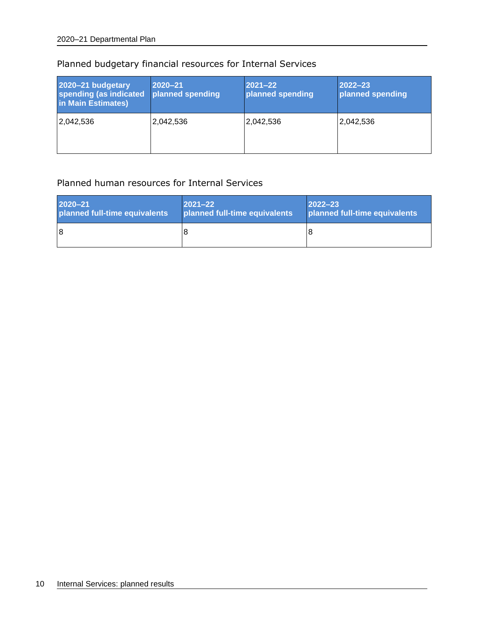| 2020-21 budgetary<br>spending (as indicated<br>in Main Estimates) | 2020-21<br>planned spending | $2021 - 22$<br>planned spending | $2022 - 23$<br>planned spending |
|-------------------------------------------------------------------|-----------------------------|---------------------------------|---------------------------------|
| 2,042,536                                                         | 2,042,536                   | 2,042,536                       | 2,042,536                       |

#### Planned budgetary financial resources for Internal Services

#### Planned human resources for Internal Services

| $2020 - 21$                   | $ 2021 - 22 $                 | $ 2022 - 23$                  |
|-------------------------------|-------------------------------|-------------------------------|
| planned full-time equivalents | planned full-time equivalents | planned full-time equivalents |
| 18                            |                               |                               |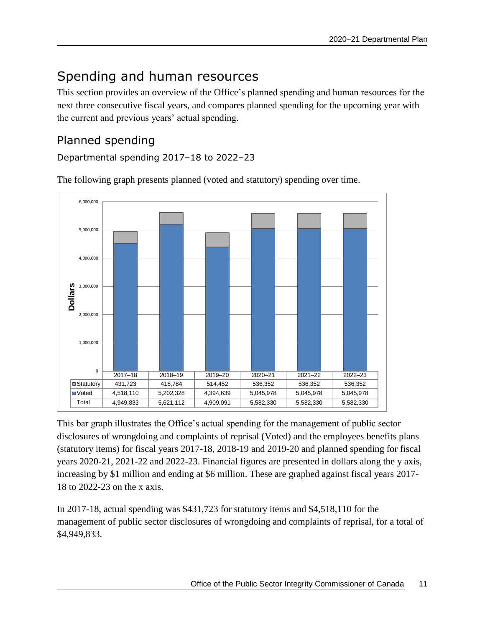## <span id="page-14-0"></span>Spending and human resources

This section provides an overview of the Office's planned spending and human resources for the next three consecutive fiscal years, and compares planned spending for the upcoming year with the current and previous years' actual spending.

### <span id="page-14-1"></span>Planned spending

Departmental spending 2017–18 to 2022–23



The following graph presents planned (voted and statutory) spending over time.

This bar graph illustrates the Office's actual spending for the management of public sector disclosures of wrongdoing and complaints of reprisal (Voted) and the employees benefits plans (statutory items) for fiscal years 2017-18, 2018-19 and 2019-20 and planned spending for fiscal years 2020-21, 2021-22 and 2022-23. Financial figures are presented in dollars along the y axis, increasing by \$1 million and ending at \$6 million. These are graphed against fiscal years 2017- 18 to 2022-23 on the x axis.

In 2017-18, actual spending was \$431,723 for statutory items and \$4,518,110 for the management of public sector disclosures of wrongdoing and complaints of reprisal, for a total of \$4,949,833.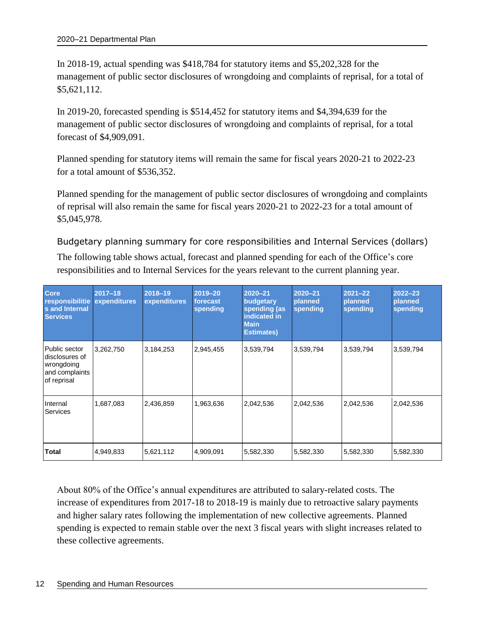In 2018-19, actual spending was \$418,784 for statutory items and \$5,202,328 for the management of public sector disclosures of wrongdoing and complaints of reprisal, for a total of \$5,621,112.

In 2019-20, forecasted spending is \$514,452 for statutory items and \$4,394,639 for the management of public sector disclosures of wrongdoing and complaints of reprisal, for a total forecast of \$4,909,091.

Planned spending for statutory items will remain the same for fiscal years 2020-21 to 2022-23 for a total amount of \$536,352.

Planned spending for the management of public sector disclosures of wrongdoing and complaints of reprisal will also remain the same for fiscal years 2020-21 to 2022-23 for a total amount of \$5,045,978.

Budgetary planning summary for core responsibilities and Internal Services (dollars) The following table shows actual, forecast and planned spending for each of the Office's core responsibilities and to Internal Services for the years relevant to the current planning year.

| <b>Core</b><br>responsibilitie expenditures<br><b>s</b> and Internal<br><b>Services</b> | $2017 - 18$ | $2018 - 19$<br>expenditures | 2019-20<br>forecast<br>spending | 2020-21<br>budgetary<br>spending (as<br>indicated in<br><b>Main</b><br><b>Estimates)</b> | 2020-21<br>planned<br>spending | $2021 - 22$<br>planned<br>spending | $2022 - 23$<br>planned<br>spending |
|-----------------------------------------------------------------------------------------|-------------|-----------------------------|---------------------------------|------------------------------------------------------------------------------------------|--------------------------------|------------------------------------|------------------------------------|
| Public sector<br>disclosures of<br>wrongdoing<br>and complaints<br>of reprisal          | 3,262,750   | 3,184,253                   | 2,945,455                       | 3,539,794                                                                                | 3,539,794                      | 3,539,794                          | 3,539,794                          |
| Internal<br><b>Services</b>                                                             | 1,687,083   | 2,436,859                   | 1,963,636                       | 2,042,536                                                                                | 2,042,536                      | 2,042,536                          | 2,042,536                          |
| Total                                                                                   | 4,949,833   | 5,621,112                   | 4,909,091                       | 5,582,330                                                                                | 5,582,330                      | 5,582,330                          | 5,582,330                          |

About 80% of the Office's annual expenditures are attributed to salary-related costs. The increase of expenditures from 2017-18 to 2018-19 is mainly due to retroactive salary payments and higher salary rates following the implementation of new collective agreements. Planned spending is expected to remain stable over the next 3 fiscal years with slight increases related to these collective agreements.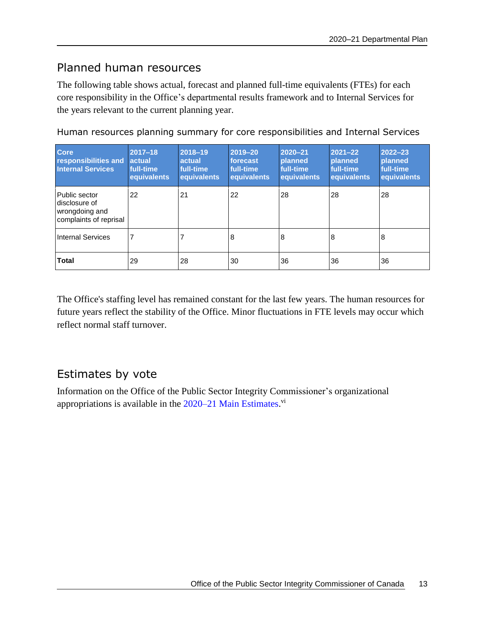### <span id="page-16-0"></span>Planned human resources

The following table shows actual, forecast and planned full-time equivalents (FTEs) for each core responsibility in the Office's departmental results framework and to Internal Services for the years relevant to the current planning year.

| Human resources planning summary for core responsibilities and Internal Services |  |  |  |
|----------------------------------------------------------------------------------|--|--|--|
|----------------------------------------------------------------------------------|--|--|--|

| <b>Core</b><br>responsibilities and<br><b>Internal Services</b>            | 2017-18<br><b>actual</b><br>full-time<br>equivalents | 2018-19<br>actual<br>full-time<br>equivalents | 2019-20<br>forecast<br>full-time<br>equivalents | 2020-21<br><b>planned</b><br>full-time<br>equivalents | $2021 - 22$<br><b>planned</b><br>full-time<br>equivalents | 2022-23<br><b>planned</b><br>full-time<br>equivalents |
|----------------------------------------------------------------------------|------------------------------------------------------|-----------------------------------------------|-------------------------------------------------|-------------------------------------------------------|-----------------------------------------------------------|-------------------------------------------------------|
| Public sector<br>disclosure of<br>wrongdoing and<br>complaints of reprisal | 22                                                   | 21                                            | 22                                              | 28                                                    | 28                                                        | 28                                                    |
| <b>Internal Services</b>                                                   |                                                      |                                               | 8                                               | 8                                                     | 8                                                         | 8                                                     |
| <b>Total</b>                                                               | 29                                                   | 28                                            | 30                                              | 36                                                    | 36                                                        | 36                                                    |

The Office's staffing level has remained constant for the last few years. The human resources for future years reflect the stability of the Office. Minor fluctuations in FTE levels may occur which reflect normal staff turnover.

### <span id="page-16-1"></span>Estimates by vote

Information on the Office of the Public Sector Integrity Commissioner's organizational appropriations is available in the [2020–21 Main Estimates.](http://www.tbs-sct.gc.ca/hgw-cgf/finances/pgs-pdg/gepme-pdgbpd/index-eng.asp)<sup>vi</sup>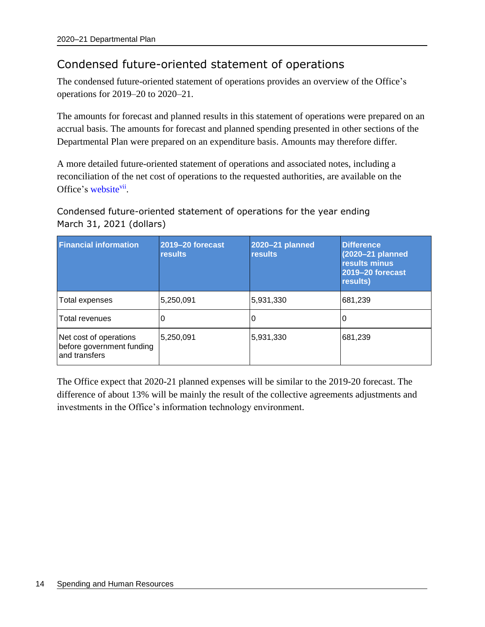### <span id="page-17-0"></span>Condensed future-oriented statement of operations

The condensed future-oriented statement of operations provides an overview of the Office's operations for 2019–20 to 2020–21.

The amounts for forecast and planned results in this statement of operations were prepared on an accrual basis. The amounts for forecast and planned spending presented in other sections of the Departmental Plan were prepared on an expenditure basis. Amounts may therefore differ.

A more detailed future-oriented statement of operations and associated notes, including a reconciliation of the net cost of operations to the requested authorities, are available on the Office's [website](https://www.psic-ispc.gc.ca/index.php/en/corporate-publications)<sup>vii</sup>.

Condensed future-oriented statement of operations for the year ending March 31, 2021 (dollars)

| <b>Financial information</b>                                         | <b>2019-20 forecast</b><br><b>results</b> | 2020-21 planned<br><b>results</b> | <b>Difference</b><br>(2020-21 planned<br>results minus<br>2019-20 forecast<br>results) |
|----------------------------------------------------------------------|-------------------------------------------|-----------------------------------|----------------------------------------------------------------------------------------|
| Total expenses                                                       | 5,250,091                                 | 5,931,330                         | 681,239                                                                                |
| Total revenues                                                       |                                           | O                                 |                                                                                        |
| Net cost of operations<br>before government funding<br>and transfers | 5,250,091                                 | 5,931,330                         | 681,239                                                                                |

The Office expect that 2020-21 planned expenses will be similar to the 2019-20 forecast. The difference of about 13% will be mainly the result of the collective agreements adjustments and investments in the Office's information technology environment.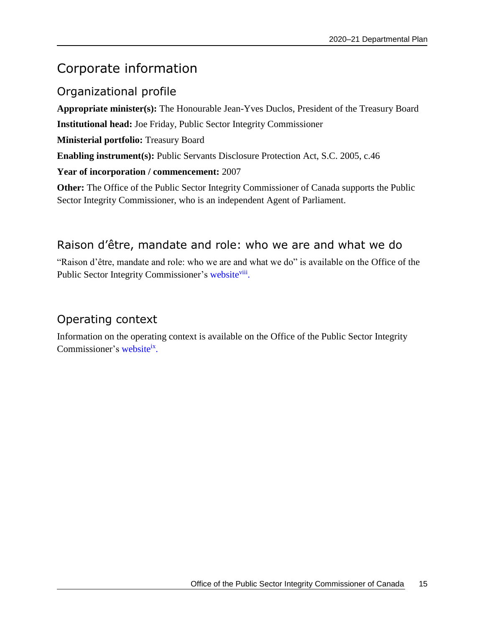## <span id="page-18-0"></span>Corporate information

### <span id="page-18-1"></span>Organizational profile

**Appropriate minister(s):** The Honourable Jean-Yves Duclos, President of the Treasury Board **Institutional head:** Joe Friday, Public Sector Integrity Commissioner **Ministerial portfolio:** Treasury Board **Enabling instrument(s):** Public Servants Disclosure Protection Act, S.C. 2005, c.46 **Year of incorporation / commencement:** 2007 **Other:** The Office of the Public Sector Integrity Commissioner of Canada supports the Public

### <span id="page-18-2"></span>Raison d'être, mandate and role: who we are and what we do

Sector Integrity Commissioner, who is an independent Agent of Parliament.

"Raison d'être, mandate and role: who we are and what we do" is available on the Office of the Public Sector Integrity Commissioner's [website](https://www.psic-ispc.gc.ca/index.php/en/corporate-publications)<sup>viii</sup>.

### <span id="page-18-3"></span>Operating context

Information on the operating context is available on the Office of the Public Sector Integrity Commissioner's [website](https://www.psic-ispc.gc.ca/index.php/en/corporate-publications)ix.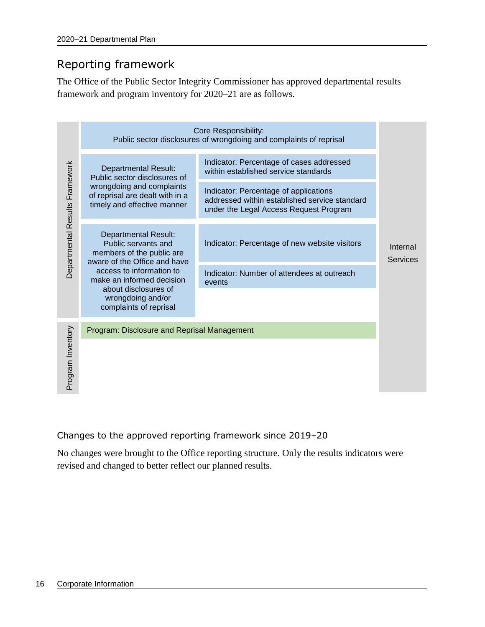### <span id="page-19-0"></span>Reporting framework

The Office of the Public Sector Integrity Commissioner has approved departmental results framework and program inventory for 2020–21 are as follows.

|                                |                                                                                                                 | <b>Core Responsibility:</b>                                                                                                      |                             |  |
|--------------------------------|-----------------------------------------------------------------------------------------------------------------|----------------------------------------------------------------------------------------------------------------------------------|-----------------------------|--|
|                                |                                                                                                                 | Public sector disclosures of wrongdoing and complaints of reprisal                                                               |                             |  |
| Departmental Results Framework | <b>Departmental Result:</b><br>Public sector disclosures of                                                     | Indicator: Percentage of cases addressed<br>within established service standards                                                 |                             |  |
|                                | wrongdoing and complaints<br>of reprisal are dealt with in a<br>timely and effective manner                     | Indicator: Percentage of applications<br>addressed within established service standard<br>under the Legal Access Request Program |                             |  |
|                                | <b>Departmental Result:</b><br>Public servants and<br>members of the public are<br>aware of the Office and have | Indicator: Percentage of new website visitors                                                                                    | Internal<br><b>Services</b> |  |
|                                | access to information to<br>make an informed decision                                                           | Indicator: Number of attendees at outreach<br>events                                                                             |                             |  |
|                                | about disclosures of<br>wrongdoing and/or<br>complaints of reprisal                                             |                                                                                                                                  |                             |  |
|                                | Program: Disclosure and Reprisal Management                                                                     |                                                                                                                                  |                             |  |
| Program Inventory              |                                                                                                                 |                                                                                                                                  |                             |  |
|                                |                                                                                                                 |                                                                                                                                  |                             |  |
|                                |                                                                                                                 | Changes to the approved reporting framework since 2019-20                                                                        |                             |  |
|                                | revised and changed to better reflect our planned results.                                                      | No changes were brought to the Office reporting structure. Only the results indicators were                                      |                             |  |

#### Changes to the approved reporting framework since 2019–20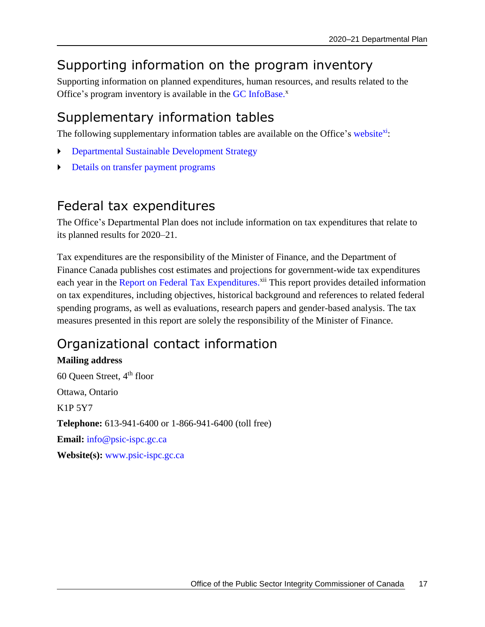## <span id="page-20-0"></span>Supporting information on the program inventory

Supporting information on planned expenditures, human resources, and results related to the Office's program inventory is available in the GC [InfoBase.](https://www.tbs-sct.gc.ca/ems-sgd/edb-bdd/index-eng.html)<sup>x</sup>

## <span id="page-20-1"></span>Supplementary information tables

The following supplementary information tables are available on the Office's [website](https://www.psic-ispc.gc.ca/index.php/en/corporate-publications)<sup>xi</sup>:

- Departmental Sustainable Development Strategy
- Details on transfer payment programs

### <span id="page-20-2"></span>Federal tax expenditures

The Office's Departmental Plan does not include information on tax expenditures that relate to its planned results for 2020–21.

Tax expenditures are the responsibility of the Minister of Finance, and the Department of Finance Canada publishes cost estimates and projections for government-wide tax expenditures each year in the [Report on Federal Tax Expenditures.](http://www.fin.gc.ca/purl/taxexp-eng.asp)<sup>xii</sup> This report provides detailed information on tax expenditures, including objectives, historical background and references to related federal spending programs, as well as evaluations, research papers and gender-based analysis. The tax measures presented in this report are solely the responsibility of the Minister of Finance.

## <span id="page-20-3"></span>Organizational contact information

#### **Mailing address**

60 Queen Street, 4th floor Ottawa, Ontario K1P 5Y7 **Telephone:** 613-941-6400 or 1-866-941-6400 (toll free) **Email:** [info@psic-ispc.gc.ca](mailto:info@psic-ispc.gc.ca) **Website(s):** [www.psic-ispc.gc.ca](http://www.psic-ispc.gc.ca/)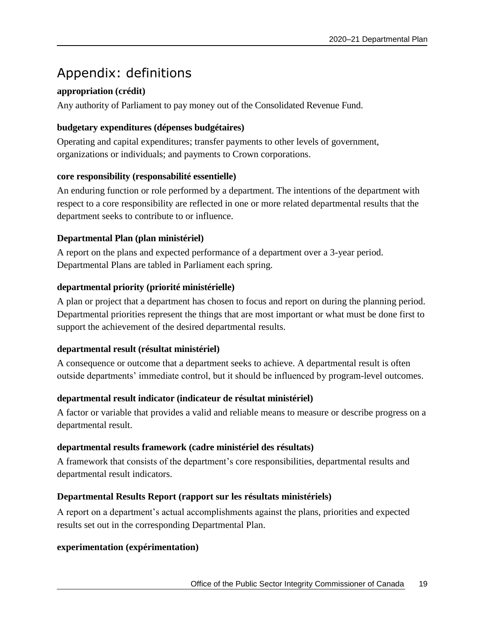## <span id="page-22-0"></span>Appendix: definitions

#### **appropriation (crédit)**

Any authority of Parliament to pay money out of the Consolidated Revenue Fund.

#### **budgetary expenditures (dépenses budgétaires)**

Operating and capital expenditures; transfer payments to other levels of government, organizations or individuals; and payments to Crown corporations.

#### **core responsibility (responsabilité essentielle)**

An enduring function or role performed by a department. The intentions of the department with respect to a core responsibility are reflected in one or more related departmental results that the department seeks to contribute to or influence.

#### **Departmental Plan (plan ministériel)**

A report on the plans and expected performance of a department over a 3-year period. Departmental Plans are tabled in Parliament each spring.

#### **departmental priority (priorité ministérielle)**

A plan or project that a department has chosen to focus and report on during the planning period. Departmental priorities represent the things that are most important or what must be done first to support the achievement of the desired departmental results.

#### **departmental result (résultat ministériel)**

A consequence or outcome that a department seeks to achieve. A departmental result is often outside departments' immediate control, but it should be influenced by program-level outcomes.

#### **departmental result indicator (indicateur de résultat ministériel)**

A factor or variable that provides a valid and reliable means to measure or describe progress on a departmental result.

#### **departmental results framework (cadre ministériel des résultats)**

A framework that consists of the department's core responsibilities, departmental results and departmental result indicators.

#### **Departmental Results Report (rapport sur les résultats ministériels)**

A report on a department's actual accomplishments against the plans, priorities and expected results set out in the corresponding Departmental Plan.

#### **experimentation (expérimentation)**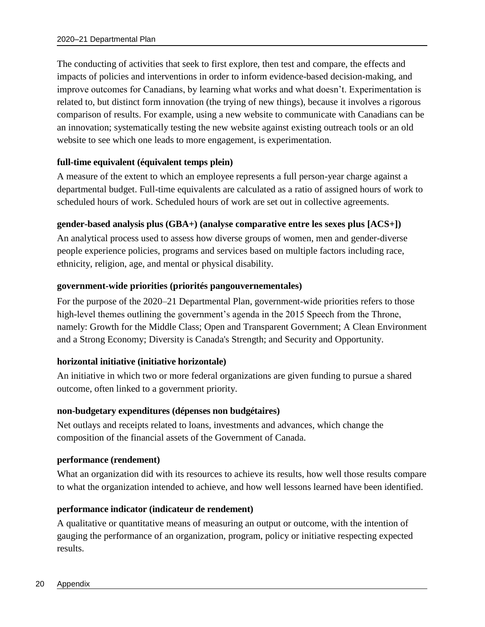The conducting of activities that seek to first explore, then test and compare, the effects and impacts of policies and interventions in order to inform evidence-based decision-making, and improve outcomes for Canadians, by learning what works and what doesn't. Experimentation is related to, but distinct form innovation (the trying of new things), because it involves a rigorous comparison of results. For example, using a new website to communicate with Canadians can be an innovation; systematically testing the new website against existing outreach tools or an old website to see which one leads to more engagement, is experimentation.

#### **full-time equivalent (équivalent temps plein)**

A measure of the extent to which an employee represents a full person-year charge against a departmental budget. Full-time equivalents are calculated as a ratio of assigned hours of work to scheduled hours of work. Scheduled hours of work are set out in collective agreements.

#### **gender-based analysis plus (GBA+) (analyse comparative entre les sexes plus [ACS+])**

An analytical process used to assess how diverse groups of women, men and gender-diverse people experience policies, programs and services based on multiple factors including race, ethnicity, religion, age, and mental or physical disability.

#### **government-wide priorities (priorités pangouvernementales)**

For the purpose of the 2020–21 Departmental Plan, government-wide priorities refers to those high-level themes outlining the government's agenda in the 2015 Speech from the Throne, namely: Growth for the Middle Class; Open and Transparent Government; A Clean Environment and a Strong Economy; Diversity is Canada's Strength; and Security and Opportunity.

#### **horizontal initiative (initiative horizontale)**

An initiative in which two or more federal organizations are given funding to pursue a shared outcome, often linked to a government priority.

#### **non-budgetary expenditures (dépenses non budgétaires)**

Net outlays and receipts related to loans, investments and advances, which change the composition of the financial assets of the Government of Canada.

#### **performance (rendement)**

What an organization did with its resources to achieve its results, how well those results compare to what the organization intended to achieve, and how well lessons learned have been identified.

#### **performance indicator (indicateur de rendement)**

A qualitative or quantitative means of measuring an output or outcome, with the intention of gauging the performance of an organization, program, policy or initiative respecting expected results.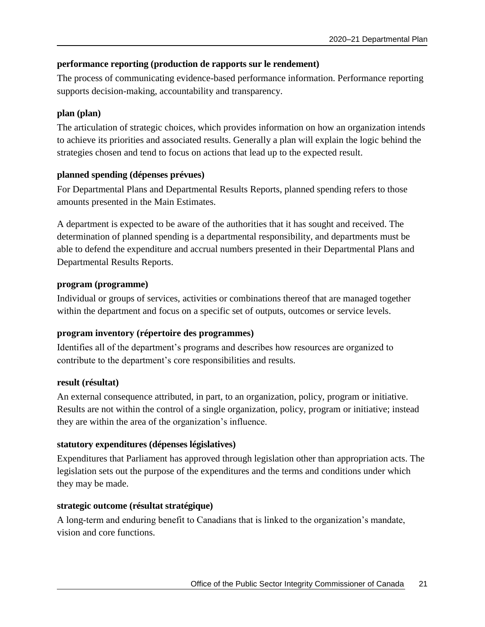#### **performance reporting (production de rapports sur le rendement)**

The process of communicating evidence-based performance information. Performance reporting supports decision-making, accountability and transparency.

#### **plan (plan)**

The articulation of strategic choices, which provides information on how an organization intends to achieve its priorities and associated results. Generally a plan will explain the logic behind the strategies chosen and tend to focus on actions that lead up to the expected result.

#### **planned spending (dépenses prévues)**

For Departmental Plans and Departmental Results Reports, planned spending refers to those amounts presented in the Main Estimates.

A department is expected to be aware of the authorities that it has sought and received. The determination of planned spending is a departmental responsibility, and departments must be able to defend the expenditure and accrual numbers presented in their Departmental Plans and Departmental Results Reports.

#### **program (programme)**

Individual or groups of services, activities or combinations thereof that are managed together within the department and focus on a specific set of outputs, outcomes or service levels.

#### **program inventory (répertoire des programmes)**

Identifies all of the department's programs and describes how resources are organized to contribute to the department's core responsibilities and results.

#### **result (résultat)**

An external consequence attributed, in part, to an organization, policy, program or initiative. Results are not within the control of a single organization, policy, program or initiative; instead they are within the area of the organization's influence.

#### **statutory expenditures (dépenses législatives)**

Expenditures that Parliament has approved through legislation other than appropriation acts. The legislation sets out the purpose of the expenditures and the terms and conditions under which they may be made.

#### **strategic outcome (résultat stratégique)**

A long-term and enduring benefit to Canadians that is linked to the organization's mandate, vision and core functions.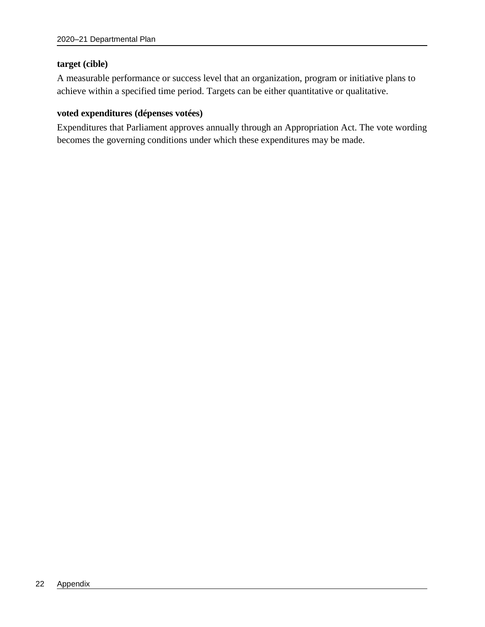#### **target (cible)**

A measurable performance or success level that an organization, program or initiative plans to achieve within a specified time period. Targets can be either quantitative or qualitative.

#### **voted expenditures (dépenses votées)**

Expenditures that Parliament approves annually through an Appropriation Act. The vote wording becomes the governing conditions under which these expenditures may be made.